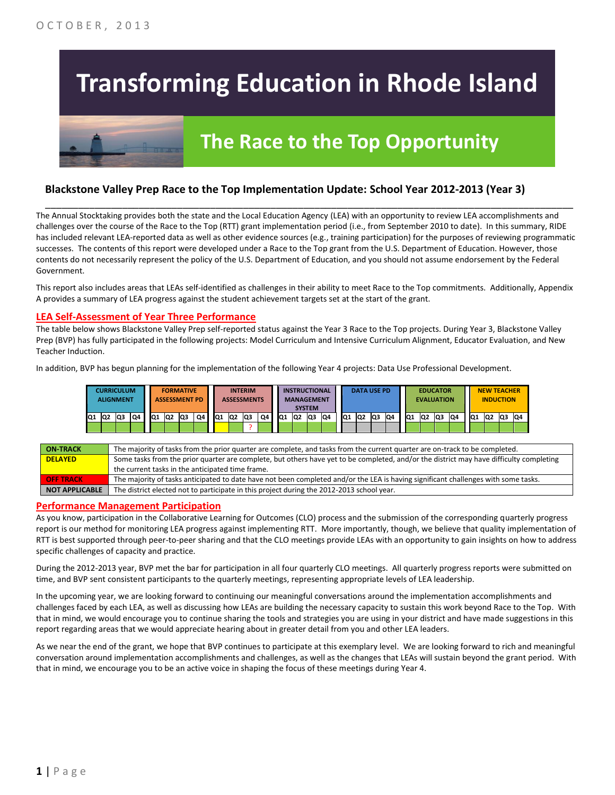# **Transforming Education in Rhode Island**



# **The Race to the Top Opportunity**

### **Blackstone Valley Prep Race to the Top Implementation Update: School Year 2012-2013 (Year 3)**

The Annual Stocktaking provides both the state and the Local Education Agency (LEA) with an opportunity to review LEA accomplishments and challenges over the course of the Race to the Top (RTT) grant implementation period (i.e., from September 2010 to date). In this summary, RIDE has included relevant LEA-reported data as well as other evidence sources (e.g., training participation) for the purposes of reviewing programmatic successes. The contents of this report were developed under a Race to the Top grant from the U.S. Department of Education. However, those contents do not necessarily represent the policy of the U.S. Department of Education, and you should not assume endorsement by the Federal Government.

\_\_\_\_\_\_\_\_\_\_\_\_\_\_\_\_\_\_\_\_\_\_\_\_\_\_\_\_\_\_\_\_\_\_\_\_\_\_\_\_\_\_\_\_\_\_\_\_\_\_\_\_\_\_\_\_\_\_\_\_\_\_\_\_\_\_\_\_\_\_\_\_\_\_\_\_\_\_\_\_\_\_\_\_\_\_\_\_\_\_\_\_\_\_\_\_

This report also includes areas that LEAs self-identified as challenges in their ability to meet Race to the Top commitments. Additionally, Appendix A provides a summary of LEA progress against the student achievement targets set at the start of the grant.

#### **LEA Self-Assessment of Year Three Performance**

The table below shows Blackstone Valley Prep self-reported status against the Year 3 Race to the Top projects. During Year 3, Blackstone Valley Prep (BVP) has fully participated in the following projects: Model Curriculum and Intensive Curriculum Alignment, Educator Evaluation, and New Teacher Induction.

In addition, BVP has begun planning for the implementation of the following Year 4 projects: Data Use Professional Development.

|     | CURRICULUM<br>ALIGNMENT |    |    |     | <b>FORMATIVE</b><br><b>ASSESSMENT PD</b> |           |    |     |                | <b>INTERIM</b><br><b>ASSESSMENTS</b> |    |                 |                | <b>INSTRUCTIONAL</b><br><b>MANAGEMENT</b><br><b>SYSTEM</b> |     |                 |                | <b>DATA USE PD</b> |    |                 | <b>EDUCATOR</b><br><b>EVALUATION</b> |     |    |     | <b>NEW TEACHER</b> | <b>INDUCTION</b> |    |
|-----|-------------------------|----|----|-----|------------------------------------------|-----------|----|-----|----------------|--------------------------------------|----|-----------------|----------------|------------------------------------------------------------|-----|-----------------|----------------|--------------------|----|-----------------|--------------------------------------|-----|----|-----|--------------------|------------------|----|
| IQ1 | Q2                      | Q3 | Q4 | lQ1 | lQ <sub>2</sub>                          | <b>Q3</b> | Q4 | IQ1 | Q <sub>2</sub> | lQ3                                  | Q4 | IQ <sub>1</sub> | Q <sub>2</sub> | Q3                                                         | IQ4 | IQ <sub>1</sub> | Q <sub>2</sub> | lQ3                | Q4 | IQ <sub>1</sub> | Q <sub>2</sub>                       | lQ3 | Q4 | IQ1 | IQ <sub>2</sub>    | Q3               | Q4 |
|     |                         |    |    |     |                                          |           |    |     |                |                                      |    |                 |                |                                                            |     |                 |                |                    |    |                 |                                      |     |    |     |                    |                  |    |

| <b>ON TRACK</b>       | The majority of tasks from the prior quarter are complete, and tasks from the current quarter are on-track to be completed.             |
|-----------------------|-----------------------------------------------------------------------------------------------------------------------------------------|
| <b>DELAYED</b>        | Some tasks from the prior quarter are complete, but others have yet to be completed, and/or the district may have difficulty completing |
|                       | the current tasks in the anticipated time frame.                                                                                        |
| <b>OFF TRACK</b>      | The majority of tasks anticipated to date have not been completed and/or the LEA is having significant challenges with some tasks.      |
| <b>NOT APPLICABLE</b> | The district elected not to participate in this project during the 2012-2013 school year.                                               |

#### **Performance Management Participation**

As you know, participation in the Collaborative Learning for Outcomes (CLO) process and the submission of the corresponding quarterly progress report is our method for monitoring LEA progress against implementing RTT. More importantly, though, we believe that quality implementation of RTT is best supported through peer-to-peer sharing and that the CLO meetings provide LEAs with an opportunity to gain insights on how to address specific challenges of capacity and practice.

During the 2012-2013 year, BVP met the bar for participation in all four quarterly CLO meetings. All quarterly progress reports were submitted on time, and BVP sent consistent participants to the quarterly meetings, representing appropriate levels of LEA leadership.

In the upcoming year, we are looking forward to continuing our meaningful conversations around the implementation accomplishments and challenges faced by each LEA, as well as discussing how LEAs are building the necessary capacity to sustain this work beyond Race to the Top. With that in mind, we would encourage you to continue sharing the tools and strategies you are using in your district and have made suggestions in this report regarding areas that we would appreciate hearing about in greater detail from you and other LEA leaders.

As we near the end of the grant, we hope that BVP continues to participate at this exemplary level. We are looking forward to rich and meaningful conversation around implementation accomplishments and challenges, as well as the changes that LEAs will sustain beyond the grant period. With that in mind, we encourage you to be an active voice in shaping the focus of these meetings during Year 4.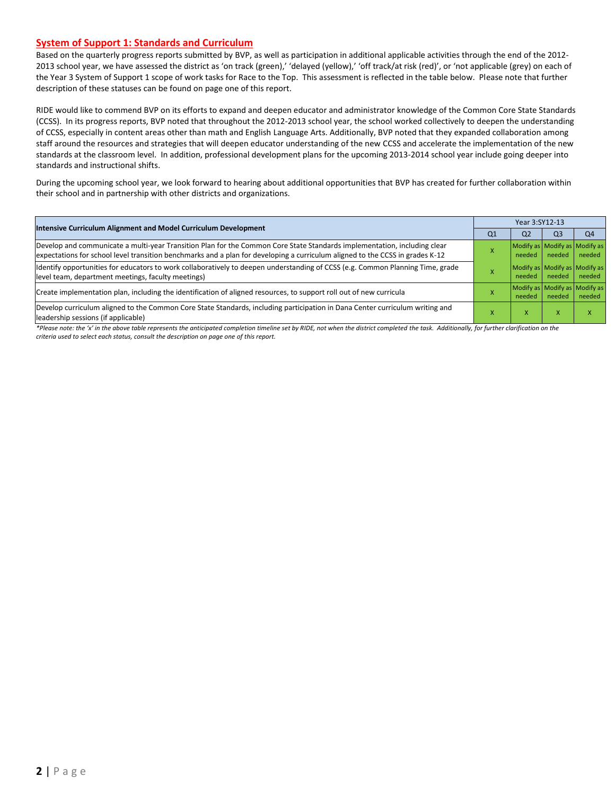#### **System of Support 1: Standards and Curriculum**

Based on the quarterly progress reports submitted by BVP, as well as participation in additional applicable activities through the end of the 2012- 2013 school year, we have assessed the district as 'on track (green),' 'delayed (yellow),' 'off track/at risk (red)', or 'not applicable (grey) on each of the Year 3 System of Support 1 scope of work tasks for Race to the Top. This assessment is reflected in the table below. Please note that further description of these statuses can be found on page one of this report.

RIDE would like to commend BVP on its efforts to expand and deepen educator and administrator knowledge of the Common Core State Standards (CCSS). In its progress reports, BVP noted that throughout the 2012-2013 school year, the school worked collectively to deepen the understanding of CCSS, especially in content areas other than math and English Language Arts. Additionally, BVP noted that they expanded collaboration among staff around the resources and strategies that will deepen educator understanding of the new CCSS and accelerate the implementation of the new standards at the classroom level. In addition, professional development plans for the upcoming 2013-2014 school year include going deeper into standards and instructional shifts.

During the upcoming school year, we look forward to hearing about additional opportunities that BVP has created for further collaboration within their school and in partnership with other districts and organizations.

|                                                                                                                                                                                                                                                           | Year 3:SY12-13 |                |                |                                         |  |  |
|-----------------------------------------------------------------------------------------------------------------------------------------------------------------------------------------------------------------------------------------------------------|----------------|----------------|----------------|-----------------------------------------|--|--|
| Intensive Curriculum Alignment and Model Curriculum Development                                                                                                                                                                                           | Q <sub>1</sub> | Q <sub>2</sub> | Q <sub>3</sub> | Q <sub>4</sub>                          |  |  |
| Develop and communicate a multi-year Transition Plan for the Common Core State Standards implementation, including clear<br>expectations for school level transition benchmarks and a plan for developing a curriculum aligned to the CCSS in grades K-12 |                | needed         | needed         | Modify as Modify as Modify as<br>needed |  |  |
| Identify opportunities for educators to work collaboratively to deepen understanding of CCSS (e.g. Common Planning Time, grade<br>level team, department meetings, faculty meetings)                                                                      |                | needed         | needed         | Modify as Modify as Modify as<br>needed |  |  |
| Create implementation plan, including the identification of aligned resources, to support roll out of new curricula                                                                                                                                       |                | needed         | needed         | Modify as Modify as Modify as<br>needed |  |  |
| Develop curriculum aligned to the Common Core State Standards, including participation in Dana Center curriculum writing and<br>leadership sessions (if applicable)                                                                                       |                | ж              | X              |                                         |  |  |

*\*Please note: the 'x' in the above table represents the anticipated completion timeline set by RIDE, not when the district completed the task. Additionally, for further clarification on the criteria used to select each status, consult the description on page one of this report.*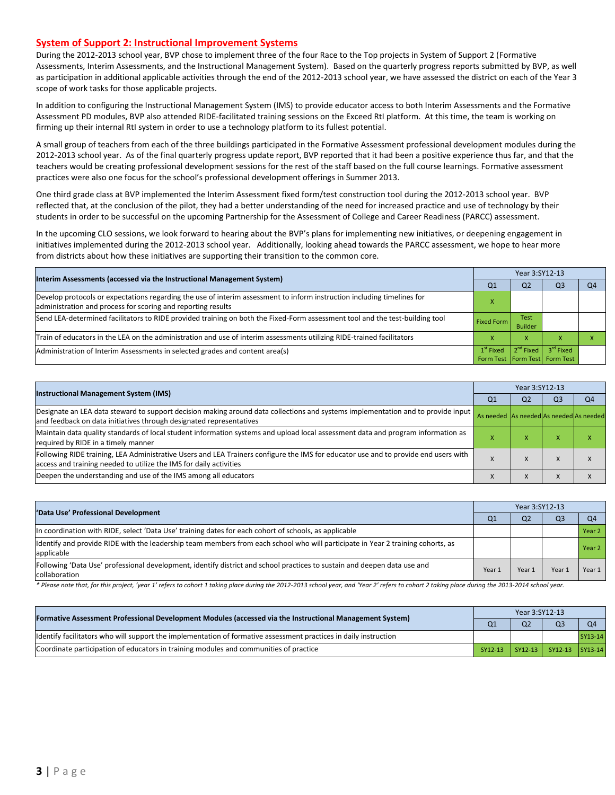#### **System of Support 2: Instructional Improvement Systems**

During the 2012-2013 school year, BVP chose to implement three of the four Race to the Top projects in System of Support 2 (Formative Assessments, Interim Assessments, and the Instructional Management System). Based on the quarterly progress reports submitted by BVP, as well as participation in additional applicable activities through the end of the 2012-2013 school year, we have assessed the district on each of the Year 3 scope of work tasks for those applicable projects.

In addition to configuring the Instructional Management System (IMS) to provide educator access to both Interim Assessments and the Formative Assessment PD modules, BVP also attended RIDE-facilitated training sessions on the Exceed RtI platform. At this time, the team is working on firming up their internal RtI system in order to use a technology platform to its fullest potential.

A small group of teachers from each of the three buildings participated in the Formative Assessment professional development modules during the 2012-2013 school year. As of the final quarterly progress update report, BVP reported that it had been a positive experience thus far, and that the teachers would be creating professional development sessions for the rest of the staff based on the full course learnings. Formative assessment practices were also one focus for the school's professional development offerings in Summer 2013.

One third grade class at BVP implemented the Interim Assessment fixed form/test construction tool during the 2012-2013 school year. BVP reflected that, at the conclusion of the pilot, they had a better understanding of the need for increased practice and use of technology by their students in order to be successful on the upcoming Partnership for the Assessment of College and Career Readiness (PARCC) assessment.

In the upcoming CLO sessions, we look forward to hearing about the BVP's plans for implementing new initiatives, or deepening engagement in initiatives implemented during the 2012-2013 school year. Additionally, looking ahead towards the PARCC assessment, we hope to hear more from districts about how these initiatives are supporting their transition to the common core.

| Interim Assessments (accessed via the Instructional Management System)                                                                                                                  | Year 3:SY12-13    |                               |                                                                                     |    |  |  |
|-----------------------------------------------------------------------------------------------------------------------------------------------------------------------------------------|-------------------|-------------------------------|-------------------------------------------------------------------------------------|----|--|--|
|                                                                                                                                                                                         | Q <sub>1</sub>    | Q <sub>2</sub>                | Q <sub>3</sub>                                                                      | Q4 |  |  |
| Develop protocols or expectations regarding the use of interim assessment to inform instruction including timelines for<br>administration and process for scoring and reporting results |                   |                               |                                                                                     |    |  |  |
| Send LEA-determined facilitators to RIDE provided training on both the Fixed-Form assessment tool and the test-building tool                                                            | <b>Fixed Form</b> | <b>Test</b><br><b>Builder</b> |                                                                                     |    |  |  |
| Train of educators in the LEA on the administration and use of interim assessments utilizing RIDE-trained facilitators                                                                  |                   | X                             |                                                                                     |    |  |  |
| Administration of Interim Assessments in selected grades and content area(s)                                                                                                            | $1st$ Fixed       |                               | $\left\  2^{nd}$ Fixed $\right\  3^{rd}$ Fixed<br>Form Test   Form Test   Form Test |    |  |  |

|                                                                                                                                                                                                           | Year 3:SY12-13                          |                |                |                |  |  |
|-----------------------------------------------------------------------------------------------------------------------------------------------------------------------------------------------------------|-----------------------------------------|----------------|----------------|----------------|--|--|
| <b>Instructional Management System (IMS)</b>                                                                                                                                                              | Q <sub>1</sub>                          | Q <sub>2</sub> | Q <sub>3</sub> | Q <sub>4</sub> |  |  |
| Designate an LEA data steward to support decision making around data collections and systems implementation and to provide input<br>and feedback on data initiatives through designated representatives   | As needed As needed As needed As needed |                |                |                |  |  |
| Maintain data quality standards of local student information systems and upload local assessment data and program information as<br>required by RIDE in a timely manner                                   |                                         |                | ⋏              | $\lambda$      |  |  |
| Following RIDE training, LEA Administrative Users and LEA Trainers configure the IMS for educator use and to provide end users with<br>access and training needed to utilize the IMS for daily activities | $\lambda$                               | $\lambda$      | $\lambda$      | $\lambda$      |  |  |
| Deepen the understanding and use of the IMS among all educators                                                                                                                                           | $\lambda$                               |                |                |                |  |  |

| 'Data Use' Professional Development                                                                                                            | Year 3:SY12-13 |                |                |                |  |  |
|------------------------------------------------------------------------------------------------------------------------------------------------|----------------|----------------|----------------|----------------|--|--|
|                                                                                                                                                | Q1             | Q <sub>2</sub> | Q <sub>3</sub> | O <sub>4</sub> |  |  |
| In coordination with RIDE, select 'Data Use' training dates for each cohort of schools, as applicable                                          |                |                |                | Year 2         |  |  |
| Ildentify and provide RIDE with the leadership team members from each school who will participate in Year 2 training cohorts, as<br>applicable |                |                |                | Year 2         |  |  |
| Following 'Data Use' professional development, identify district and school practices to sustain and deepen data use and<br>collaboration      | Year 1         | Year 1         | Year           | Year $1$       |  |  |

\* Please note that, for this project, 'year 1' refers to cohort 1 taking place during the 2012-2013 school year, and 'Year 2' refers to cohort 2 taking place during the 2013-2014 school year.

| [Formative Assessment Professional Development Modules (accessed via the Instructional Management System)        | Year 3:SY12-13 |                |                         |                |  |
|------------------------------------------------------------------------------------------------------------------|----------------|----------------|-------------------------|----------------|--|
|                                                                                                                  |                | Q <sub>2</sub> | Q <sub>3</sub>          | O <sub>4</sub> |  |
| ldentify facilitators who will support the implementation of formative assessment practices in daily instruction |                |                |                         | $SY13-14$      |  |
| Coordinate participation of educators in training modules and communities of practice                            | SY12-13        |                | SY12-13 SY12-13 SY13-14 |                |  |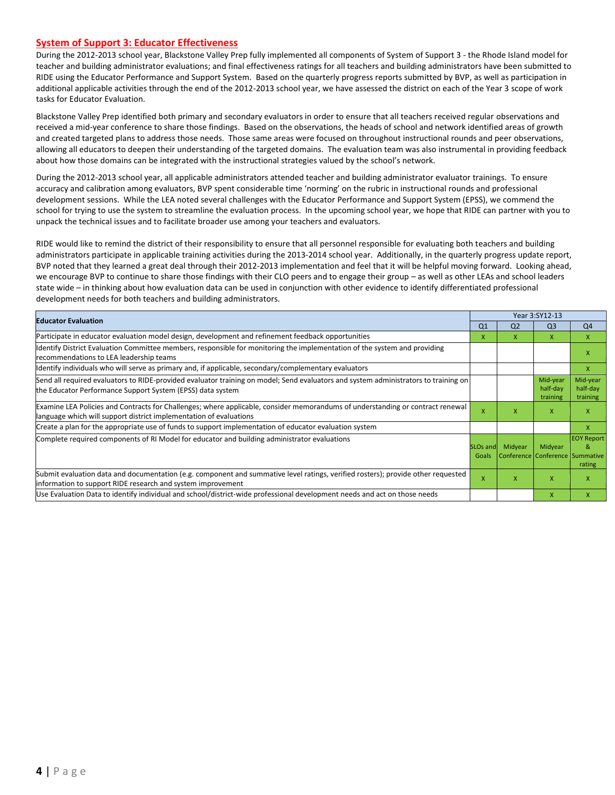#### **System of Support 3: Educator Effectiveness**

During the 2012-2013 school year, Blackstone Valley Prep fully implemented all components of System of Support 3 - the Rhode Island model for teacher and building administrator evaluations; and final effectiveness ratings for all teachers and building administrators have been submitted to RIDE using the Educator Performance and Support System. Based on the quarterly progress reports submitted by BVP, as well as participation in additional applicable activities through the end of the 2012-2013 school year, we have assessed the district on each of the Year 3 scope of work tasks for Educator Evaluation.

Blackstone Valley Prep identified both primary and secondary evaluators in order to ensure that all teachers received regular observations and received a mid-year conference to share those findings. Based on the observations, the heads of school and network identified areas of growth and created targeted plans to address those needs. Those same areas were focused on throughout instructional rounds and peer observations, allowing all educators to deepen their understanding of the targeted domains. The evaluation team was also instrumental in providing feedback about how those domains can be integrated with the instructional strategies valued by the school's network.

During the 2012-2013 school year, all applicable administrators attended teacher and building administrator evaluator trainings. To ensure accuracy and calibration among evaluators, BVP spent considerable time 'norming' on the rubric in instructional rounds and professional development sessions. While the LEA noted several challenges with the Educator Performance and Support System (EPSS), we commend the school for trying to use the system to streamline the evaluation process. In the upcoming school year, we hope that RIDE can partner with you to unpack the technical issues and to facilitate broader use among your teachers and evaluators.

RIDE would like to remind the district of their responsibility to ensure that all personnel responsible for evaluating both teachers and building administrators participate in applicable training activities during the 2013-2014 school year. Additionally, in the quarterly progress update report, BVP noted that they learned a great deal through their 2012-2013 implementation and feel that it will be helpful moving forward. Looking ahead, we encourage BVP to continue to share those findings with their CLO peers and to engage their group – as well as other LEAs and school leaders state wide – in thinking about how evaluation data can be used in conjunction with other evidence to identify differentiated professional development needs for both teachers and building administrators.

| <b>Educator Evaluation</b>                                                                                                                                                                           |                               |                                            |                                  |                                  |
|------------------------------------------------------------------------------------------------------------------------------------------------------------------------------------------------------|-------------------------------|--------------------------------------------|----------------------------------|----------------------------------|
|                                                                                                                                                                                                      | Q <sub>1</sub>                | Q <sub>2</sub>                             | Q <sub>3</sub>                   | Q <sub>4</sub>                   |
| Participate in educator evaluation model design, development and refinement feedback opportunities                                                                                                   | X                             | X.                                         | X                                | $\mathsf{x}$                     |
| ldentify District Evaluation Committee members, responsible for monitoring the implementation of the system and providing<br>recommendations to LEA leadership teams                                 |                               |                                            |                                  | x                                |
| ldentify individuals who will serve as primary and, if applicable, secondary/complementary evaluators                                                                                                |                               |                                            |                                  | X                                |
| Send all required evaluators to RIDE-provided evaluator training on model; Send evaluators and system administrators to training on<br>the Educator Performance Support System (EPSS) data system    |                               |                                            | Mid-year<br>half-day<br>training | Mid-year<br>half-day<br>training |
| Examine LEA Policies and Contracts for Challenges; where applicable, consider memorandums of understanding or contract renewal<br>language which will support district implementation of evaluations | $\boldsymbol{\mathsf{x}}$     | X                                          | $\mathsf{x}$                     | X                                |
| Create a plan for the appropriate use of funds to support implementation of educator evaluation system                                                                                               |                               |                                            |                                  | X                                |
| Complete required components of RI Model for educator and building administrator evaluations                                                                                                         | SLO <sub>s</sub> and<br>Goals | Midyear<br>Conference Conference Summative | Midyear                          | <b>EOY Report</b><br>8<br>rating |
| Submit evaluation data and documentation (e.g. component and summative level ratings, verified rosters); provide other requested<br>information to support RIDE research and system improvement      | $\boldsymbol{\mathsf{x}}$     | X                                          | $\mathsf{x}$                     | X                                |
| Use Evaluation Data to identify individual and school/district-wide professional development needs and act on those needs                                                                            |                               |                                            | X                                | $\mathsf{x}$                     |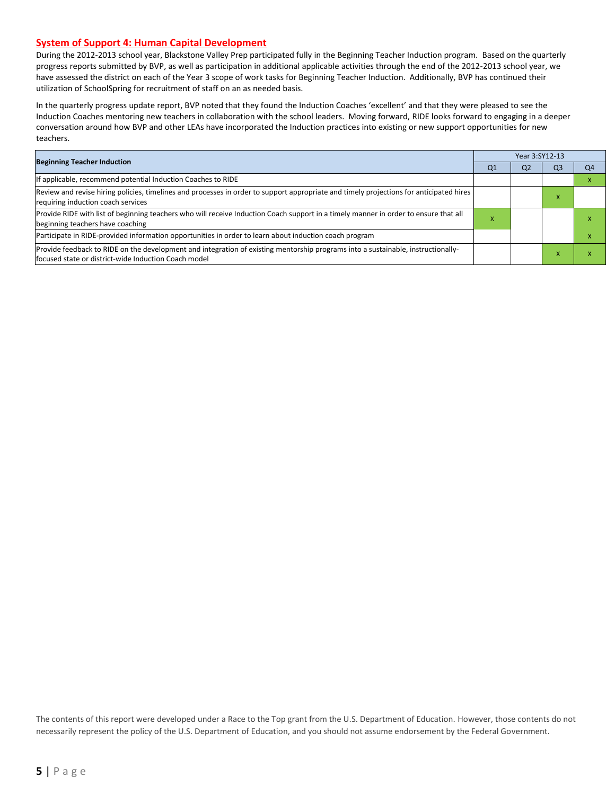#### **System of Support 4: Human Capital Development**

During the 2012-2013 school year, Blackstone Valley Prep participated fully in the Beginning Teacher Induction program. Based on the quarterly progress reports submitted by BVP, as well as participation in additional applicable activities through the end of the 2012-2013 school year, we have assessed the district on each of the Year 3 scope of work tasks for Beginning Teacher Induction. Additionally, BVP has continued their utilization of SchoolSpring for recruitment of staff on an as needed basis.

In the quarterly progress update report, BVP noted that they found the Induction Coaches 'excellent' and that they were pleased to see the Induction Coaches mentoring new teachers in collaboration with the school leaders. Moving forward, RIDE looks forward to engaging in a deeper conversation around how BVP and other LEAs have incorporated the Induction practices into existing or new support opportunities for new teachers.

| <b>Beginning Teacher Induction</b>                                                                                                                                                       |    |                | Year 3:SY12-13 |                |  |
|------------------------------------------------------------------------------------------------------------------------------------------------------------------------------------------|----|----------------|----------------|----------------|--|
|                                                                                                                                                                                          | Q1 | Q <sub>2</sub> | Q <sub>3</sub> | Q <sub>4</sub> |  |
| If applicable, recommend potential Induction Coaches to RIDE                                                                                                                             |    |                |                |                |  |
| Review and revise hiring policies, timelines and processes in order to support appropriate and timely projections for anticipated hires<br>requiring induction coach services            |    |                |                |                |  |
| Provide RIDE with list of beginning teachers who will receive Induction Coach support in a timely manner in order to ensure that all<br>beginning teachers have coaching                 |    |                |                |                |  |
| Participate in RIDE-provided information opportunities in order to learn about induction coach program                                                                                   |    |                |                |                |  |
| Provide feedback to RIDE on the development and integration of existing mentorship programs into a sustainable, instructionally-<br>focused state or district-wide Induction Coach model |    |                |                |                |  |

The contents of this report were developed under a Race to the Top grant from the U.S. Department of Education. However, those contents do not necessarily represent the policy of the U.S. Department of Education, and you should not assume endorsement by the Federal Government.